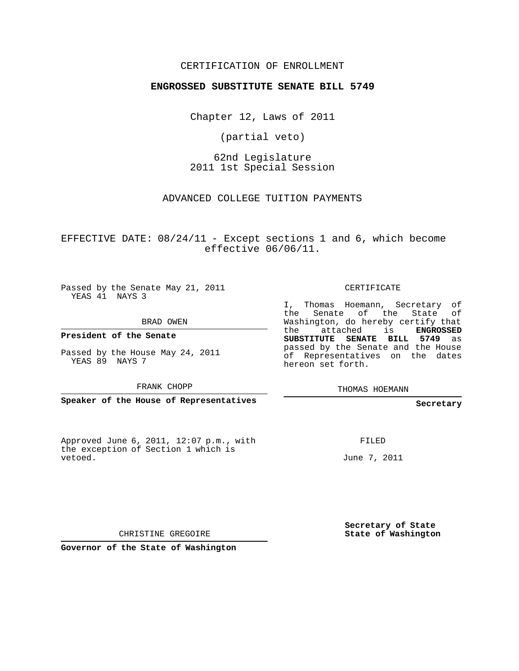## CERTIFICATION OF ENROLLMENT

## **ENGROSSED SUBSTITUTE SENATE BILL 5749**

Chapter 12, Laws of 2011

(partial veto)

62nd Legislature 2011 1st Special Session

ADVANCED COLLEGE TUITION PAYMENTS

EFFECTIVE DATE:  $08/24/11$  - Except sections 1 and 6, which become effective 06/06/11.

Passed by the Senate May 21, 2011 YEAS 41 NAYS 3

BRAD OWEN

**President of the Senate**

Passed by the House May 24, 2011 YEAS 89 NAYS 7

FRANK CHOPP

**Speaker of the House of Representatives**

Approved June 6, 2011, 12:07 p.m., with the exception of Section 1 which is vetoed.

CERTIFICATE

I, Thomas Hoemann, Secretary of the Senate of the State of Washington, do hereby certify that the attached is **ENGROSSED SUBSTITUTE SENATE BILL 5749** as passed by the Senate and the House of Representatives on the dates hereon set forth.

THOMAS HOEMANN

**Secretary**

FILED

June 7, 2011

**Secretary of State State of Washington**

CHRISTINE GREGOIRE

**Governor of the State of Washington**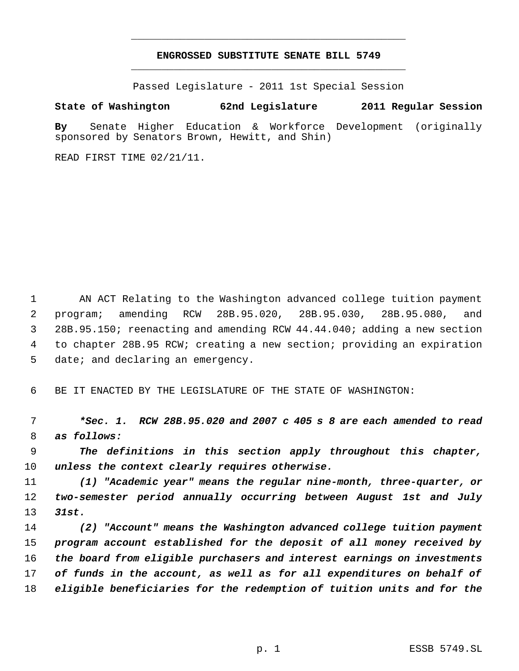## **ENGROSSED SUBSTITUTE SENATE BILL 5749** \_\_\_\_\_\_\_\_\_\_\_\_\_\_\_\_\_\_\_\_\_\_\_\_\_\_\_\_\_\_\_\_\_\_\_\_\_\_\_\_\_\_\_\_\_

\_\_\_\_\_\_\_\_\_\_\_\_\_\_\_\_\_\_\_\_\_\_\_\_\_\_\_\_\_\_\_\_\_\_\_\_\_\_\_\_\_\_\_\_\_

Passed Legislature - 2011 1st Special Session

## **State of Washington 62nd Legislature 2011 Regular Session**

**By** Senate Higher Education & Workforce Development (originally sponsored by Senators Brown, Hewitt, and Shin)

READ FIRST TIME 02/21/11.

 AN ACT Relating to the Washington advanced college tuition payment program; amending RCW 28B.95.020, 28B.95.030, 28B.95.080, and 28B.95.150; reenacting and amending RCW 44.44.040; adding a new section to chapter 28B.95 RCW; creating a new section; providing an expiration 5 date; and declaring an emergency.

BE IT ENACTED BY THE LEGISLATURE OF THE STATE OF WASHINGTON:

 *\*Sec. 1. RCW 28B.95.020 and 2007 c 405 s 8 are each amended to read as follows:*

 *The definitions in this section apply throughout this chapter, unless the context clearly requires otherwise.*

 *(1) "Academic year" means the regular nine-month, three-quarter, or two-semester period annually occurring between August 1st and July 31st.*

 *(2) "Account" means the Washington advanced college tuition payment program account established for the deposit of all money received by the board from eligible purchasers and interest earnings on investments of funds in the account, as well as for all expenditures on behalf of eligible beneficiaries for the redemption of tuition units and for the*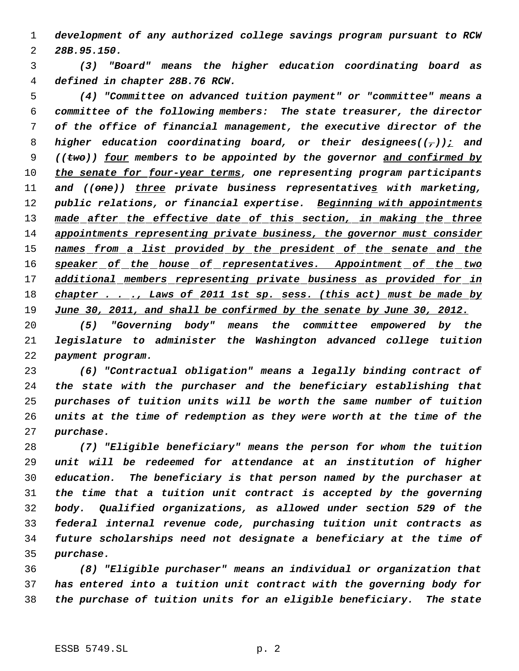*development of any authorized college savings program pursuant to RCW 28B.95.150.*

 *(3) "Board" means the higher education coordinating board as defined in chapter 28B.76 RCW.*

 *(4) "Committee on advanced tuition payment" or "committee" means a committee of the following members: The state treasurer, the director of the office of financial management, the executive director of the higher education coordinating board, or their designees((,)); and ((two)) four members to be appointed by the governor and confirmed by the senate for four-year terms, one representing program participants and ((one)) three private business representatives with marketing, public relations, or financial expertise. Beginning with appointments made after the effective date of this section, in making the three appointments representing private business, the governor must consider names from a list provided by the president of the senate and the speaker of the house of representatives. Appointment of the two additional members representing private business as provided for in chapter . . ., Laws of 2011 1st sp. sess. (this act) must be made by June 30, 2011, and shall be confirmed by the senate by June 30, 2012.*

 *(5) "Governing body" means the committee empowered by the legislature to administer the Washington advanced college tuition payment program.*

 *(6) "Contractual obligation" means a legally binding contract of the state with the purchaser and the beneficiary establishing that purchases of tuition units will be worth the same number of tuition units at the time of redemption as they were worth at the time of the purchase.*

 *(7) "Eligible beneficiary" means the person for whom the tuition unit will be redeemed for attendance at an institution of higher education. The beneficiary is that person named by the purchaser at the time that a tuition unit contract is accepted by the governing body. Qualified organizations, as allowed under section 529 of the federal internal revenue code, purchasing tuition unit contracts as future scholarships need not designate a beneficiary at the time of purchase.*

 *(8) "Eligible purchaser" means an individual or organization that has entered into a tuition unit contract with the governing body for the purchase of tuition units for an eligible beneficiary. The state*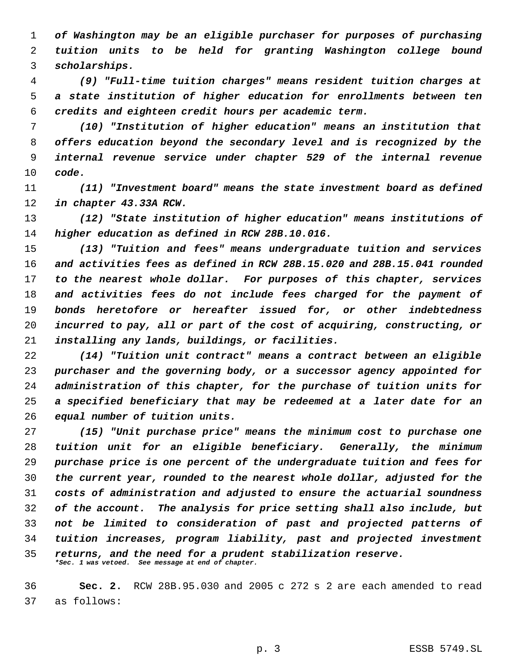*of Washington may be an eligible purchaser for purposes of purchasing tuition units to be held for granting Washington college bound scholarships.*

 *(9) "Full-time tuition charges" means resident tuition charges at a state institution of higher education for enrollments between ten credits and eighteen credit hours per academic term.*

 *(10) "Institution of higher education" means an institution that offers education beyond the secondary level and is recognized by the internal revenue service under chapter 529 of the internal revenue code.*

 *(11) "Investment board" means the state investment board as defined in chapter 43.33A RCW.*

 *(12) "State institution of higher education" means institutions of higher education as defined in RCW 28B.10.016.*

 *(13) "Tuition and fees" means undergraduate tuition and services and activities fees as defined in RCW 28B.15.020 and 28B.15.041 rounded to the nearest whole dollar. For purposes of this chapter, services and activities fees do not include fees charged for the payment of bonds heretofore or hereafter issued for, or other indebtedness incurred to pay, all or part of the cost of acquiring, constructing, or installing any lands, buildings, or facilities.*

 *(14) "Tuition unit contract" means a contract between an eligible purchaser and the governing body, or a successor agency appointed for administration of this chapter, for the purchase of tuition units for a specified beneficiary that may be redeemed at a later date for an equal number of tuition units.*

 *(15) "Unit purchase price" means the minimum cost to purchase one tuition unit for an eligible beneficiary. Generally, the minimum purchase price is one percent of the undergraduate tuition and fees for the current year, rounded to the nearest whole dollar, adjusted for the costs of administration and adjusted to ensure the actuarial soundness of the account. The analysis for price setting shall also include, but not be limited to consideration of past and projected patterns of tuition increases, program liability, past and projected investment returns, and the need for a prudent stabilization reserve. \*Sec. 1 was vetoed. See message at end of chapter.*

 **Sec. 2.** RCW 28B.95.030 and 2005 c 272 s 2 are each amended to read as follows: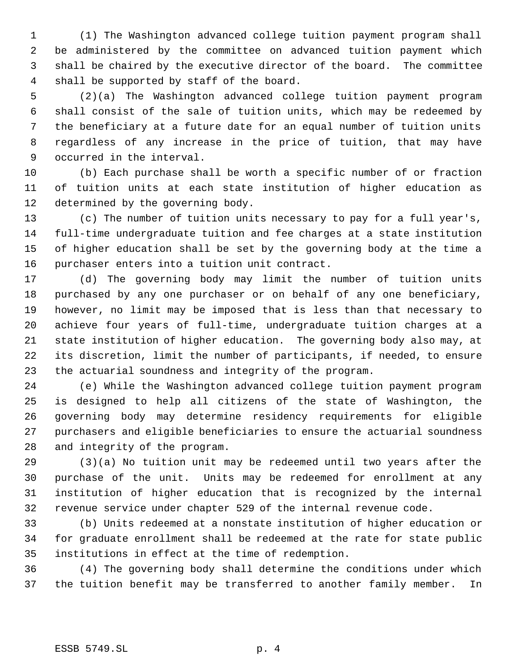(1) The Washington advanced college tuition payment program shall be administered by the committee on advanced tuition payment which shall be chaired by the executive director of the board. The committee shall be supported by staff of the board.

 (2)(a) The Washington advanced college tuition payment program shall consist of the sale of tuition units, which may be redeemed by the beneficiary at a future date for an equal number of tuition units regardless of any increase in the price of tuition, that may have occurred in the interval.

 (b) Each purchase shall be worth a specific number of or fraction of tuition units at each state institution of higher education as determined by the governing body.

 (c) The number of tuition units necessary to pay for a full year's, full-time undergraduate tuition and fee charges at a state institution of higher education shall be set by the governing body at the time a purchaser enters into a tuition unit contract.

 (d) The governing body may limit the number of tuition units purchased by any one purchaser or on behalf of any one beneficiary, however, no limit may be imposed that is less than that necessary to achieve four years of full-time, undergraduate tuition charges at a state institution of higher education. The governing body also may, at its discretion, limit the number of participants, if needed, to ensure the actuarial soundness and integrity of the program.

 (e) While the Washington advanced college tuition payment program is designed to help all citizens of the state of Washington, the governing body may determine residency requirements for eligible purchasers and eligible beneficiaries to ensure the actuarial soundness and integrity of the program.

 (3)(a) No tuition unit may be redeemed until two years after the purchase of the unit. Units may be redeemed for enrollment at any institution of higher education that is recognized by the internal revenue service under chapter 529 of the internal revenue code.

 (b) Units redeemed at a nonstate institution of higher education or for graduate enrollment shall be redeemed at the rate for state public institutions in effect at the time of redemption.

 (4) The governing body shall determine the conditions under which the tuition benefit may be transferred to another family member. In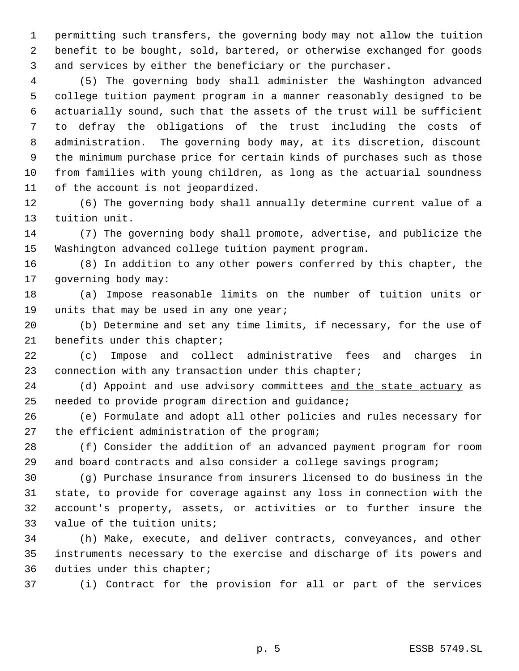permitting such transfers, the governing body may not allow the tuition benefit to be bought, sold, bartered, or otherwise exchanged for goods and services by either the beneficiary or the purchaser.

 (5) The governing body shall administer the Washington advanced college tuition payment program in a manner reasonably designed to be actuarially sound, such that the assets of the trust will be sufficient to defray the obligations of the trust including the costs of administration. The governing body may, at its discretion, discount the minimum purchase price for certain kinds of purchases such as those from families with young children, as long as the actuarial soundness of the account is not jeopardized.

 (6) The governing body shall annually determine current value of a tuition unit.

 (7) The governing body shall promote, advertise, and publicize the Washington advanced college tuition payment program.

 (8) In addition to any other powers conferred by this chapter, the governing body may:

 (a) Impose reasonable limits on the number of tuition units or 19 units that may be used in any one year;

 (b) Determine and set any time limits, if necessary, for the use of benefits under this chapter;

 (c) Impose and collect administrative fees and charges in connection with any transaction under this chapter;

24 (d) Appoint and use advisory committees and the state actuary as needed to provide program direction and guidance;

 (e) Formulate and adopt all other policies and rules necessary for the efficient administration of the program;

 (f) Consider the addition of an advanced payment program for room and board contracts and also consider a college savings program;

 (g) Purchase insurance from insurers licensed to do business in the state, to provide for coverage against any loss in connection with the account's property, assets, or activities or to further insure the value of the tuition units;

 (h) Make, execute, and deliver contracts, conveyances, and other instruments necessary to the exercise and discharge of its powers and duties under this chapter;

(i) Contract for the provision for all or part of the services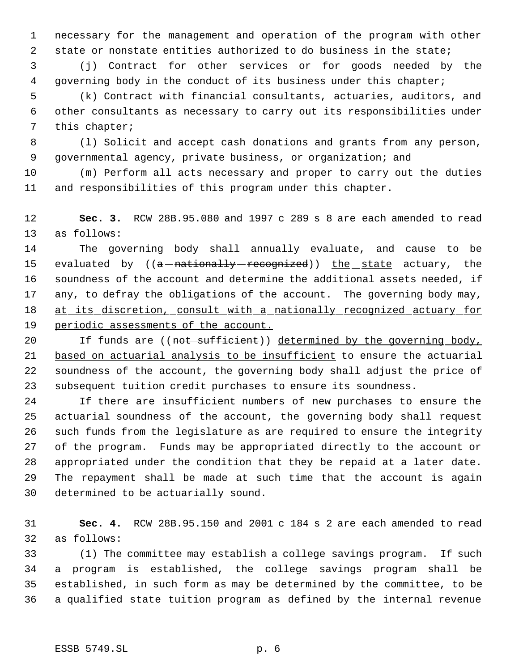necessary for the management and operation of the program with other state or nonstate entities authorized to do business in the state;

 (j) Contract for other services or for goods needed by the governing body in the conduct of its business under this chapter;

 (k) Contract with financial consultants, actuaries, auditors, and other consultants as necessary to carry out its responsibilities under this chapter;

 (l) Solicit and accept cash donations and grants from any person, governmental agency, private business, or organization; and

 (m) Perform all acts necessary and proper to carry out the duties and responsibilities of this program under this chapter.

 **Sec. 3.** RCW 28B.95.080 and 1997 c 289 s 8 are each amended to read as follows:

 The governing body shall annually evaluate, and cause to be 15 evaluated by ((<del>a nationally recognized</del>)) the state actuary, the soundness of the account and determine the additional assets needed, if 17 any, to defray the obligations of the account. The governing body may, at its discretion, consult with a nationally recognized actuary for 19 periodic assessments of the account.

20 If funds are ((not sufficient)) determined by the governing body, based on actuarial analysis to be insufficient to ensure the actuarial soundness of the account, the governing body shall adjust the price of subsequent tuition credit purchases to ensure its soundness.

 If there are insufficient numbers of new purchases to ensure the actuarial soundness of the account, the governing body shall request such funds from the legislature as are required to ensure the integrity of the program. Funds may be appropriated directly to the account or appropriated under the condition that they be repaid at a later date. The repayment shall be made at such time that the account is again determined to be actuarially sound.

 **Sec. 4.** RCW 28B.95.150 and 2001 c 184 s 2 are each amended to read as follows:

 (1) The committee may establish a college savings program. If such a program is established, the college savings program shall be established, in such form as may be determined by the committee, to be a qualified state tuition program as defined by the internal revenue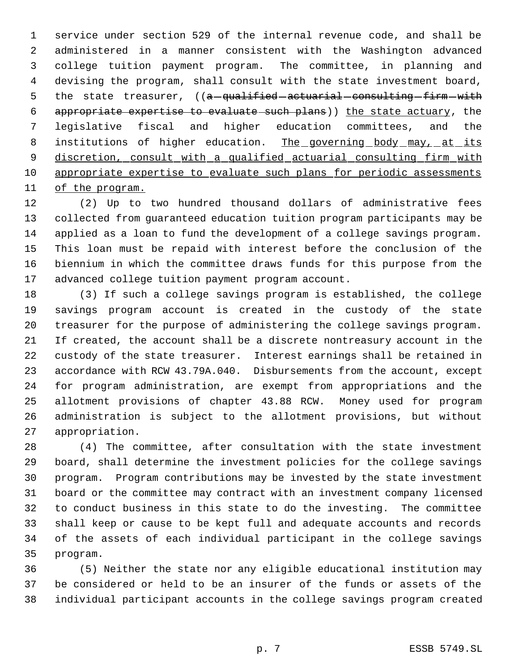service under section 529 of the internal revenue code, and shall be administered in a manner consistent with the Washington advanced college tuition payment program. The committee, in planning and devising the program, shall consult with the state investment board, 5 the state treasurer, ((a-qualified actuarial consulting firm with appropriate expertise to evaluate such plans)) the state actuary, the legislative fiscal and higher education committees, and the 8 institutions of higher education. The governing body may, at its 9 discretion, consult with a qualified actuarial consulting firm with appropriate expertise to evaluate such plans for periodic assessments of the program.

 (2) Up to two hundred thousand dollars of administrative fees collected from guaranteed education tuition program participants may be applied as a loan to fund the development of a college savings program. This loan must be repaid with interest before the conclusion of the biennium in which the committee draws funds for this purpose from the advanced college tuition payment program account.

 (3) If such a college savings program is established, the college savings program account is created in the custody of the state treasurer for the purpose of administering the college savings program. If created, the account shall be a discrete nontreasury account in the custody of the state treasurer. Interest earnings shall be retained in accordance with RCW 43.79A.040. Disbursements from the account, except for program administration, are exempt from appropriations and the allotment provisions of chapter 43.88 RCW. Money used for program administration is subject to the allotment provisions, but without appropriation.

 (4) The committee, after consultation with the state investment board, shall determine the investment policies for the college savings program. Program contributions may be invested by the state investment board or the committee may contract with an investment company licensed to conduct business in this state to do the investing. The committee shall keep or cause to be kept full and adequate accounts and records of the assets of each individual participant in the college savings program.

 (5) Neither the state nor any eligible educational institution may be considered or held to be an insurer of the funds or assets of the individual participant accounts in the college savings program created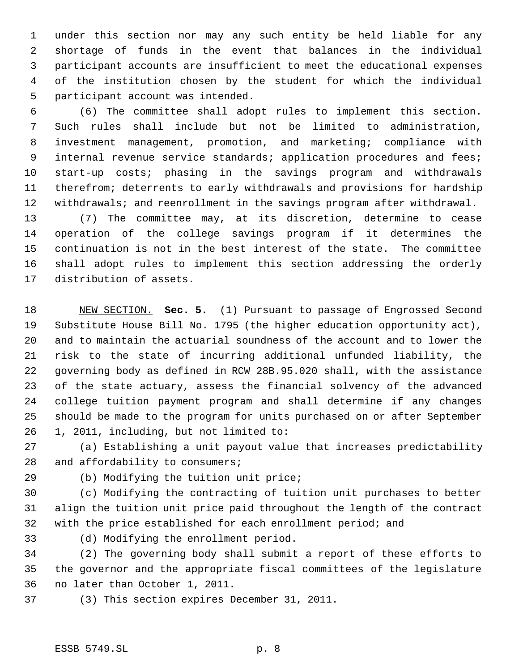under this section nor may any such entity be held liable for any shortage of funds in the event that balances in the individual participant accounts are insufficient to meet the educational expenses of the institution chosen by the student for which the individual participant account was intended.

 (6) The committee shall adopt rules to implement this section. Such rules shall include but not be limited to administration, investment management, promotion, and marketing; compliance with 9 internal revenue service standards; application procedures and fees; start-up costs; phasing in the savings program and withdrawals therefrom; deterrents to early withdrawals and provisions for hardship withdrawals; and reenrollment in the savings program after withdrawal.

 (7) The committee may, at its discretion, determine to cease operation of the college savings program if it determines the continuation is not in the best interest of the state. The committee shall adopt rules to implement this section addressing the orderly distribution of assets.

 NEW SECTION. **Sec. 5.** (1) Pursuant to passage of Engrossed Second Substitute House Bill No. 1795 (the higher education opportunity act), and to maintain the actuarial soundness of the account and to lower the risk to the state of incurring additional unfunded liability, the governing body as defined in RCW 28B.95.020 shall, with the assistance of the state actuary, assess the financial solvency of the advanced college tuition payment program and shall determine if any changes should be made to the program for units purchased on or after September 1, 2011, including, but not limited to:

 (a) Establishing a unit payout value that increases predictability 28 and affordability to consumers;

(b) Modifying the tuition unit price;

 (c) Modifying the contracting of tuition unit purchases to better align the tuition unit price paid throughout the length of the contract with the price established for each enrollment period; and

(d) Modifying the enrollment period.

 (2) The governing body shall submit a report of these efforts to the governor and the appropriate fiscal committees of the legislature no later than October 1, 2011.

(3) This section expires December 31, 2011.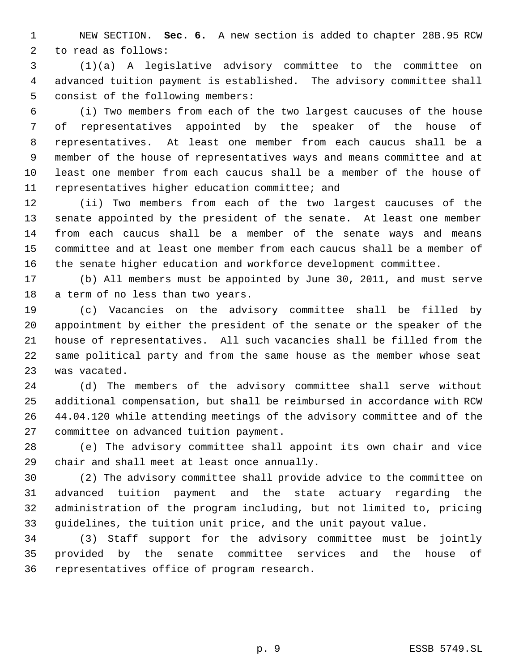NEW SECTION. **Sec. 6.** A new section is added to chapter 28B.95 RCW to read as follows:

 (1)(a) A legislative advisory committee to the committee on advanced tuition payment is established. The advisory committee shall consist of the following members:

 (i) Two members from each of the two largest caucuses of the house of representatives appointed by the speaker of the house of representatives. At least one member from each caucus shall be a member of the house of representatives ways and means committee and at least one member from each caucus shall be a member of the house of representatives higher education committee; and

 (ii) Two members from each of the two largest caucuses of the senate appointed by the president of the senate. At least one member from each caucus shall be a member of the senate ways and means committee and at least one member from each caucus shall be a member of the senate higher education and workforce development committee.

 (b) All members must be appointed by June 30, 2011, and must serve a term of no less than two years.

 (c) Vacancies on the advisory committee shall be filled by appointment by either the president of the senate or the speaker of the house of representatives. All such vacancies shall be filled from the same political party and from the same house as the member whose seat was vacated.

 (d) The members of the advisory committee shall serve without additional compensation, but shall be reimbursed in accordance with RCW 44.04.120 while attending meetings of the advisory committee and of the committee on advanced tuition payment.

 (e) The advisory committee shall appoint its own chair and vice chair and shall meet at least once annually.

 (2) The advisory committee shall provide advice to the committee on advanced tuition payment and the state actuary regarding the administration of the program including, but not limited to, pricing guidelines, the tuition unit price, and the unit payout value.

 (3) Staff support for the advisory committee must be jointly provided by the senate committee services and the house of representatives office of program research.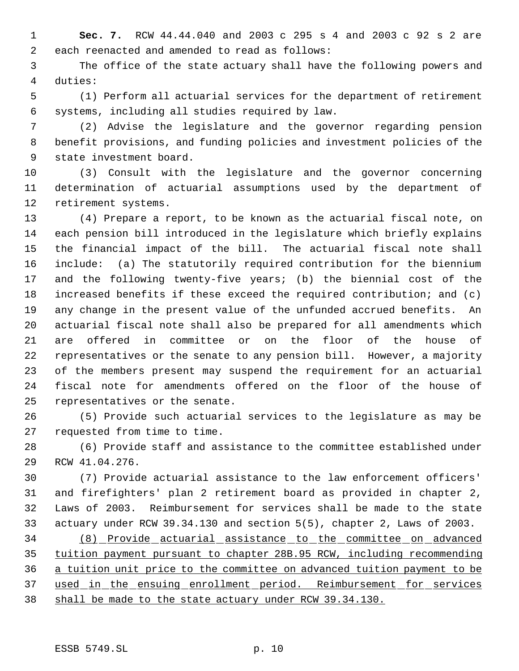**Sec. 7.** RCW 44.44.040 and 2003 c 295 s 4 and 2003 c 92 s 2 are each reenacted and amended to read as follows:

 The office of the state actuary shall have the following powers and duties:

 (1) Perform all actuarial services for the department of retirement systems, including all studies required by law.

 (2) Advise the legislature and the governor regarding pension benefit provisions, and funding policies and investment policies of the state investment board.

 (3) Consult with the legislature and the governor concerning determination of actuarial assumptions used by the department of retirement systems.

 (4) Prepare a report, to be known as the actuarial fiscal note, on each pension bill introduced in the legislature which briefly explains the financial impact of the bill. The actuarial fiscal note shall include: (a) The statutorily required contribution for the biennium and the following twenty-five years; (b) the biennial cost of the increased benefits if these exceed the required contribution; and (c) any change in the present value of the unfunded accrued benefits. An actuarial fiscal note shall also be prepared for all amendments which are offered in committee or on the floor of the house of representatives or the senate to any pension bill. However, a majority of the members present may suspend the requirement for an actuarial fiscal note for amendments offered on the floor of the house of representatives or the senate.

 (5) Provide such actuarial services to the legislature as may be requested from time to time.

 (6) Provide staff and assistance to the committee established under RCW 41.04.276.

 (7) Provide actuarial assistance to the law enforcement officers' and firefighters' plan 2 retirement board as provided in chapter 2, Laws of 2003. Reimbursement for services shall be made to the state actuary under RCW 39.34.130 and section 5(5), chapter 2, Laws of 2003.

 (8) Provide actuarial assistance to the committee on advanced tuition payment pursuant to chapter 28B.95 RCW, including recommending a tuition unit price to the committee on advanced tuition payment to be 37 used in the ensuing enrollment period. Reimbursement for services shall be made to the state actuary under RCW 39.34.130.